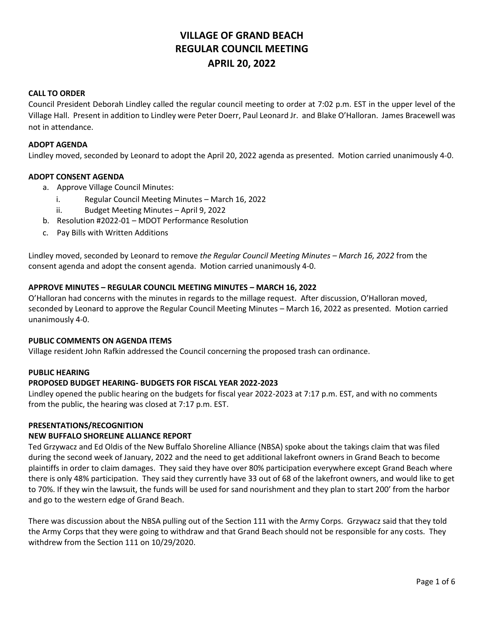# **VILLAGE OF GRAND BEACH REGULAR COUNCIL MEETING APRIL 20, 2022**

# **CALL TO ORDER**

Council President Deborah Lindley called the regular council meeting to order at 7:02 p.m. EST in the upper level of the Village Hall. Present in addition to Lindley were Peter Doerr, Paul Leonard Jr. and Blake O'Halloran. James Bracewell was not in attendance.

#### **ADOPT AGENDA**

Lindley moved, seconded by Leonard to adopt the April 20, 2022 agenda as presented. Motion carried unanimously 4-0.

# **ADOPT CONSENT AGENDA**

- a. Approve Village Council Minutes:
	- i. Regular Council Meeting Minutes March 16, 2022
	- ii. Budget Meeting Minutes April 9, 2022
- b. Resolution #2022-01 MDOT Performance Resolution
- c. Pay Bills with Written Additions

Lindley moved, seconded by Leonard to remove *the Regular Council Meeting Minutes – March 16, 2022* from the consent agenda and adopt the consent agenda. Motion carried unanimously 4-0.

#### **APPROVE MINUTES – REGULAR COUNCIL MEETING MINUTES – MARCH 16, 2022**

O'Halloran had concerns with the minutes in regards to the millage request. After discussion, O'Halloran moved, seconded by Leonard to approve the Regular Council Meeting Minutes – March 16, 2022 as presented. Motion carried unanimously 4-0.

#### **PUBLIC COMMENTS ON AGENDA ITEMS**

Village resident John Rafkin addressed the Council concerning the proposed trash can ordinance.

#### **PUBLIC HEARING**

# **PROPOSED BUDGET HEARING- BUDGETS FOR FISCAL YEAR 2022-2023**

Lindley opened the public hearing on the budgets for fiscal year 2022-2023 at 7:17 p.m. EST, and with no comments from the public, the hearing was closed at 7:17 p.m. EST.

#### **PRESENTATIONS/RECOGNITION**

#### **NEW BUFFALO SHORELINE ALLIANCE REPORT**

Ted Grzywacz and Ed Oldis of the New Buffalo Shoreline Alliance (NBSA) spoke about the takings claim that was filed during the second week of January, 2022 and the need to get additional lakefront owners in Grand Beach to become plaintiffs in order to claim damages. They said they have over 80% participation everywhere except Grand Beach where there is only 48% participation. They said they currently have 33 out of 68 of the lakefront owners, and would like to get to 70%. If they win the lawsuit, the funds will be used for sand nourishment and they plan to start 200' from the harbor and go to the western edge of Grand Beach.

There was discussion about the NBSA pulling out of the Section 111 with the Army Corps. Grzywacz said that they told the Army Corps that they were going to withdraw and that Grand Beach should not be responsible for any costs. They withdrew from the Section 111 on 10/29/2020.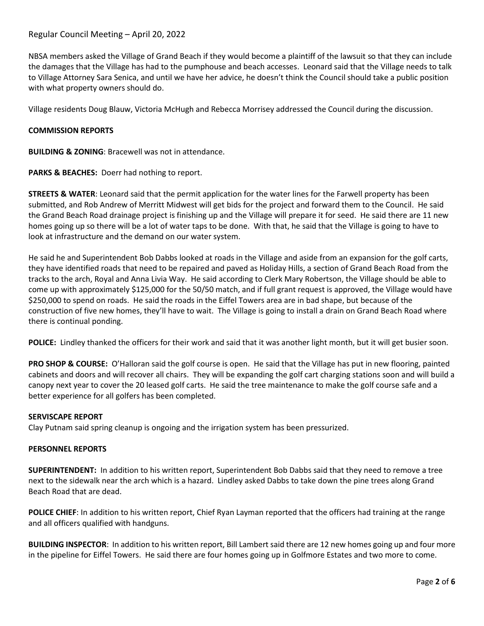# Regular Council Meeting – April 20, 2022

NBSA members asked the Village of Grand Beach if they would become a plaintiff of the lawsuit so that they can include the damages that the Village has had to the pumphouse and beach accesses. Leonard said that the Village needs to talk to Village Attorney Sara Senica, and until we have her advice, he doesn't think the Council should take a public position with what property owners should do.

Village residents Doug Blauw, Victoria McHugh and Rebecca Morrisey addressed the Council during the discussion.

#### **COMMISSION REPORTS**

**BUILDING & ZONING**: Bracewell was not in attendance.

**PARKS & BEACHES:** Doerr had nothing to report.

**STREETS & WATER**: Leonard said that the permit application for the water lines for the Farwell property has been submitted, and Rob Andrew of Merritt Midwest will get bids for the project and forward them to the Council. He said the Grand Beach Road drainage project is finishing up and the Village will prepare it for seed. He said there are 11 new homes going up so there will be a lot of water taps to be done. With that, he said that the Village is going to have to look at infrastructure and the demand on our water system.

He said he and Superintendent Bob Dabbs looked at roads in the Village and aside from an expansion for the golf carts, they have identified roads that need to be repaired and paved as Holiday Hills, a section of Grand Beach Road from the tracks to the arch, Royal and Anna Livia Way. He said according to Clerk Mary Robertson, the Village should be able to come up with approximately \$125,000 for the 50/50 match, and if full grant request is approved, the Village would have \$250,000 to spend on roads. He said the roads in the Eiffel Towers area are in bad shape, but because of the construction of five new homes, they'll have to wait. The Village is going to install a drain on Grand Beach Road where there is continual ponding.

**POLICE:** Lindley thanked the officers for their work and said that it was another light month, but it will get busier soon.

**PRO SHOP & COURSE:** O'Halloran said the golf course is open. He said that the Village has put in new flooring, painted cabinets and doors and will recover all chairs. They will be expanding the golf cart charging stations soon and will build a canopy next year to cover the 20 leased golf carts. He said the tree maintenance to make the golf course safe and a better experience for all golfers has been completed.

#### **SERVISCAPE REPORT**

Clay Putnam said spring cleanup is ongoing and the irrigation system has been pressurized.

#### **PERSONNEL REPORTS**

**SUPERINTENDENT:** In addition to his written report, Superintendent Bob Dabbs said that they need to remove a tree next to the sidewalk near the arch which is a hazard. Lindley asked Dabbs to take down the pine trees along Grand Beach Road that are dead.

**POLICE CHIEF**: In addition to his written report, Chief Ryan Layman reported that the officers had training at the range and all officers qualified with handguns.

**BUILDING INSPECTOR**: In addition to his written report, Bill Lambert said there are 12 new homes going up and four more in the pipeline for Eiffel Towers. He said there are four homes going up in Golfmore Estates and two more to come.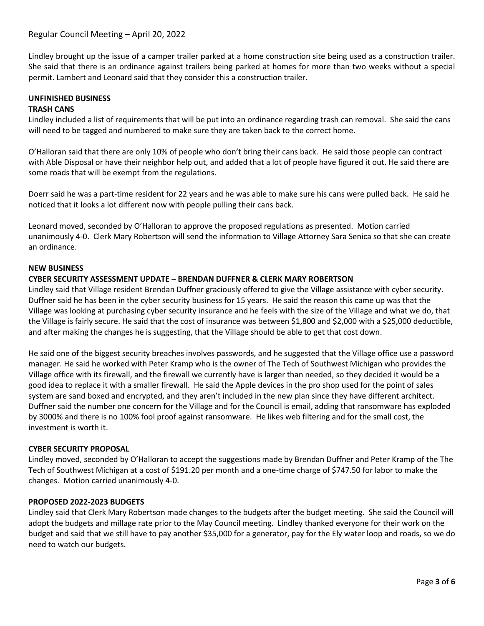Lindley brought up the issue of a camper trailer parked at a home construction site being used as a construction trailer. She said that there is an ordinance against trailers being parked at homes for more than two weeks without a special permit. Lambert and Leonard said that they consider this a construction trailer.

# **UNFINISHED BUSINESS**

# **TRASH CANS**

Lindley included a list of requirements that will be put into an ordinance regarding trash can removal. She said the cans will need to be tagged and numbered to make sure they are taken back to the correct home.

O'Halloran said that there are only 10% of people who don't bring their cans back. He said those people can contract with Able Disposal or have their neighbor help out, and added that a lot of people have figured it out. He said there are some roads that will be exempt from the regulations.

Doerr said he was a part-time resident for 22 years and he was able to make sure his cans were pulled back. He said he noticed that it looks a lot different now with people pulling their cans back.

Leonard moved, seconded by O'Halloran to approve the proposed regulations as presented. Motion carried unanimously 4-0. Clerk Mary Robertson will send the information to Village Attorney Sara Senica so that she can create an ordinance.

# **NEW BUSINESS**

# **CYBER SECURITY ASSESSMENT UPDATE – BRENDAN DUFFNER & CLERK MARY ROBERTSON**

Lindley said that Village resident Brendan Duffner graciously offered to give the Village assistance with cyber security. Duffner said he has been in the cyber security business for 15 years. He said the reason this came up was that the Village was looking at purchasing cyber security insurance and he feels with the size of the Village and what we do, that the Village is fairly secure. He said that the cost of insurance was between \$1,800 and \$2,000 with a \$25,000 deductible, and after making the changes he is suggesting, that the Village should be able to get that cost down.

He said one of the biggest security breaches involves passwords, and he suggested that the Village office use a password manager. He said he worked with Peter Kramp who is the owner of The Tech of Southwest Michigan who provides the Village office with its firewall, and the firewall we currently have is larger than needed, so they decided it would be a good idea to replace it with a smaller firewall. He said the Apple devices in the pro shop used for the point of sales system are sand boxed and encrypted, and they aren't included in the new plan since they have different architect. Duffner said the number one concern for the Village and for the Council is email, adding that ransomware has exploded by 3000% and there is no 100% fool proof against ransomware. He likes web filtering and for the small cost, the investment is worth it.

# **CYBER SECURITY PROPOSAL**

Lindley moved, seconded by O'Halloran to accept the suggestions made by Brendan Duffner and Peter Kramp of the The Tech of Southwest Michigan at a cost of \$191.20 per month and a one-time charge of \$747.50 for labor to make the changes. Motion carried unanimously 4-0.

# **PROPOSED 2022-2023 BUDGETS**

Lindley said that Clerk Mary Robertson made changes to the budgets after the budget meeting. She said the Council will adopt the budgets and millage rate prior to the May Council meeting. Lindley thanked everyone for their work on the budget and said that we still have to pay another \$35,000 for a generator, pay for the Ely water loop and roads, so we do need to watch our budgets.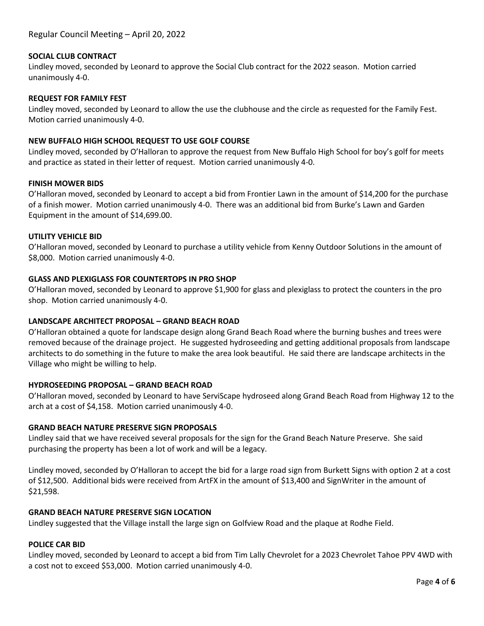# **SOCIAL CLUB CONTRACT**

Lindley moved, seconded by Leonard to approve the Social Club contract for the 2022 season. Motion carried unanimously 4-0.

#### **REQUEST FOR FAMILY FEST**

Lindley moved, seconded by Leonard to allow the use the clubhouse and the circle as requested for the Family Fest. Motion carried unanimously 4-0.

# **NEW BUFFALO HIGH SCHOOL REQUEST TO USE GOLF COURSE**

Lindley moved, seconded by O'Halloran to approve the request from New Buffalo High School for boy's golf for meets and practice as stated in their letter of request. Motion carried unanimously 4-0.

#### **FINISH MOWER BIDS**

O'Halloran moved, seconded by Leonard to accept a bid from Frontier Lawn in the amount of \$14,200 for the purchase of a finish mower. Motion carried unanimously 4-0. There was an additional bid from Burke's Lawn and Garden Equipment in the amount of \$14,699.00.

#### **UTILITY VEHICLE BID**

O'Halloran moved, seconded by Leonard to purchase a utility vehicle from Kenny Outdoor Solutions in the amount of \$8,000. Motion carried unanimously 4-0.

# **GLASS AND PLEXIGLASS FOR COUNTERTOPS IN PRO SHOP**

O'Halloran moved, seconded by Leonard to approve \$1,900 for glass and plexiglass to protect the counters in the pro shop. Motion carried unanimously 4-0.

# **LANDSCAPE ARCHITECT PROPOSAL – GRAND BEACH ROAD**

O'Halloran obtained a quote for landscape design along Grand Beach Road where the burning bushes and trees were removed because of the drainage project. He suggested hydroseeding and getting additional proposals from landscape architects to do something in the future to make the area look beautiful. He said there are landscape architects in the Village who might be willing to help.

# **HYDROSEEDING PROPOSAL – GRAND BEACH ROAD**

O'Halloran moved, seconded by Leonard to have ServiScape hydroseed along Grand Beach Road from Highway 12 to the arch at a cost of \$4,158. Motion carried unanimously 4-0.

# **GRAND BEACH NATURE PRESERVE SIGN PROPOSALS**

Lindley said that we have received several proposals for the sign for the Grand Beach Nature Preserve. She said purchasing the property has been a lot of work and will be a legacy.

Lindley moved, seconded by O'Halloran to accept the bid for a large road sign from Burkett Signs with option 2 at a cost of \$12,500. Additional bids were received from ArtFX in the amount of \$13,400 and SignWriter in the amount of \$21,598.

# **GRAND BEACH NATURE PRESERVE SIGN LOCATION**

Lindley suggested that the Village install the large sign on Golfview Road and the plaque at Rodhe Field.

#### **POLICE CAR BID**

Lindley moved, seconded by Leonard to accept a bid from Tim Lally Chevrolet for a 2023 Chevrolet Tahoe PPV 4WD with a cost not to exceed \$53,000. Motion carried unanimously 4-0.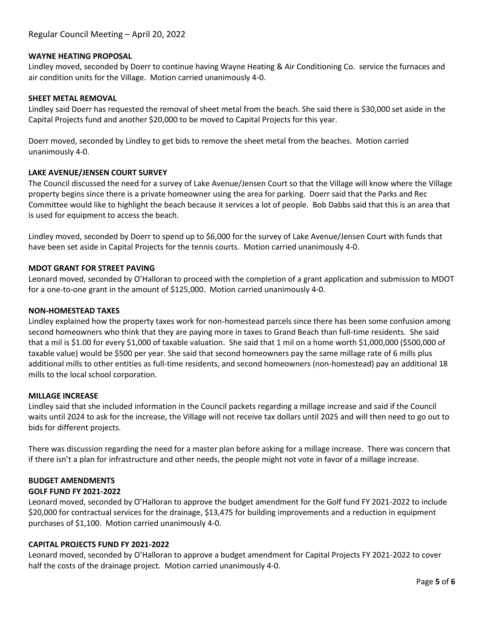# **WAYNE HEATING PROPOSAL**

Lindley moved, seconded by Doerr to continue having Wayne Heating & Air Conditioning Co. service the furnaces and air condition units for the Village. Motion carried unanimously 4-0.

#### **SHEET METAL REMOVAL**

Lindley said Doerr has requested the removal of sheet metal from the beach. She said there is \$30,000 set aside in the Capital Projects fund and another \$20,000 to be moved to Capital Projects for this year.

Doerr moved, seconded by Lindley to get bids to remove the sheet metal from the beaches. Motion carried unanimously 4-0.

#### **LAKE AVENUE/JENSEN COURT SURVEY**

The Council discussed the need for a survey of Lake Avenue/Jensen Court so that the Village will know where the Village property begins since there is a private homeowner using the area for parking. Doerr said that the Parks and Rec Committee would like to highlight the beach because it services a lot of people. Bob Dabbs said that this is an area that is used for equipment to access the beach.

Lindley moved, seconded by Doerr to spend up to \$6,000 for the survey of Lake Avenue/Jensen Court with funds that have been set aside in Capital Projects for the tennis courts. Motion carried unanimously 4-0.

#### **MDOT GRANT FOR STREET PAVING**

Leonard moved, seconded by O'Halloran to proceed with the completion of a grant application and submission to MDOT for a one-to-one grant in the amount of \$125,000. Motion carried unanimously 4-0.

#### **NON-HOMESTEAD TAXES**

Lindley explained how the property taxes work for non-homestead parcels since there has been some confusion among second homeowners who think that they are paying more in taxes to Grand Beach than full-time residents. She said that a mil is \$1.00 for every \$1,000 of taxable valuation. She said that 1 mil on a home worth \$1,000,000 (\$500,000 of taxable value) would be \$500 per year. She said that second homeowners pay the same millage rate of 6 mills plus additional mills to other entities as full-time residents, and second homeowners (non-homestead) pay an additional 18 mills to the local school corporation.

#### **MILLAGE INCREASE**

Lindley said that she included information in the Council packets regarding a millage increase and said if the Council waits until 2024 to ask for the increase, the Village will not receive tax dollars until 2025 and will then need to go out to bids for different projects.

There was discussion regarding the need for a master plan before asking for a millage increase. There was concern that if there isn't a plan for infrastructure and other needs, the people might not vote in favor of a millage increase.

# **BUDGET AMENDMENTS**

# **GOLF FUND FY 2021-2022**

Leonard moved, seconded by O'Halloran to approve the budget amendment for the Golf fund FY 2021-2022 to include \$20,000 for contractual services for the drainage, \$13,475 for building improvements and a reduction in equipment purchases of \$1,100. Motion carried unanimously 4-0.

#### **CAPITAL PROJECTS FUND FY 2021-2022**

Leonard moved, seconded by O'Halloran to approve a budget amendment for Capital Projects FY 2021-2022 to cover half the costs of the drainage project. Motion carried unanimously 4-0.